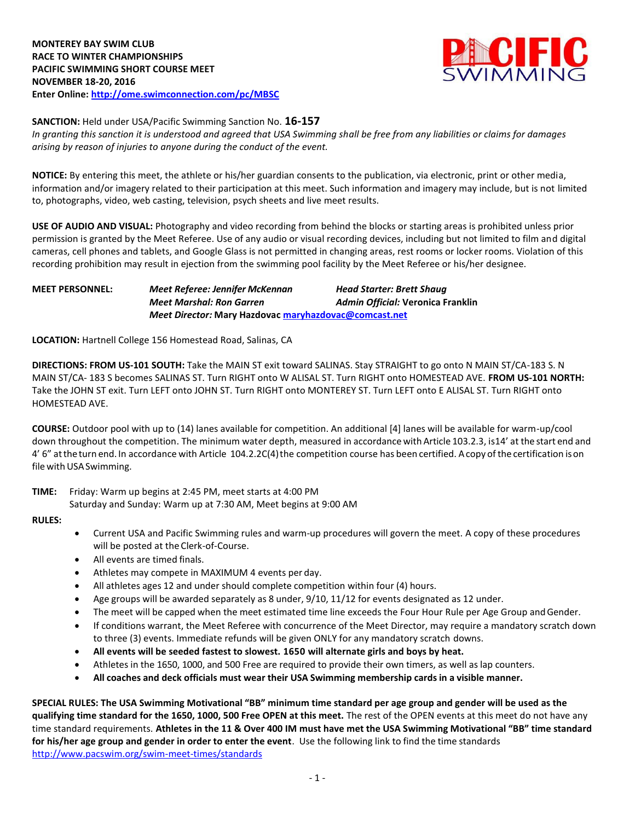

**SANCTION:** Held under USA/Pacific Swimming Sanction No. **16-157**

*In granting this sanction it is understood and agreed that USA Swimming shall be free from any liabilities or claims for damages arising by reason of injuries to anyone during the conduct of the event.*

**NOTICE:** By entering this meet, the athlete or his/her guardian consents to the publication, via electronic, print or other media, information and/or imagery related to their participation at this meet. Such information and imagery may include, but is not limited to, photographs, video, web casting, television, psych sheets and live meet results.

**USE OF AUDIO AND VISUAL:** Photography and video recording from behind the blocks or starting areas is prohibited unless prior permission is granted by the Meet Referee. Use of any audio or visual recording devices, including but not limited to film and digital cameras, cell phones and tablets, and Google Glass is not permitted in changing areas, rest rooms or locker rooms. Violation of this recording prohibition may result in ejection from the swimming pool facility by the Meet Referee or his/her designee.

# **MEET PERSONNEL:** *Meet Referee: Jennifer McKennan Head Starter: Brett Shaug Meet Marshal: Ron Garren Admin Official:* **Veronica Franklin** *Meet Director:* **Mary Hazdovac maryhazdovac@comcast.net**

**LOCATION:** Hartnell College 156 Homestead Road, Salinas, CA

**DIRECTIONS: FROM US-101 SOUTH:** Take the MAIN ST exit toward SALINAS. Stay STRAIGHT to go onto N MAIN ST/CA-183 S. N MAIN ST/CA- 183 S becomes SALINAS ST. Turn RIGHT onto W ALISAL ST. Turn RIGHT onto HOMESTEAD AVE. **FROM US-101 NORTH:**  Take the JOHN ST exit. Turn LEFT onto JOHN ST. Turn RIGHT onto MONTEREY ST. Turn LEFT onto E ALISAL ST. Turn RIGHT onto HOMESTEAD AVE.

**COURSE:** Outdoor pool with up to (14) lanes available for competition. An additional [4] lanes will be available for warm-up/cool down throughout the competition. The minimum water depth, measured in accordance with Article 103.2.3, is14' at the start end and 4' 6" at the turn end. In accordance with Article 104.2.2C(4) the competition course has been certified. Acopy of the certification ison file with USA Swimming.

**TIME:** Friday: Warm up begins at 2:45 PM, meet starts at 4:00 PM Saturday and Sunday: Warm up at 7:30 AM, Meet begins at 9:00 AM

#### **RULES:**

- Current USA and Pacific Swimming rules and warm-up procedures will govern the meet. A copy of these procedures will be posted at the Clerk-of-Course.
- All events are timed finals.
- Athletes may compete in MAXIMUM 4 events per day.
- All athletes ages 12 and under should complete competition within four (4) hours.
- Age groups will be awarded separately as 8 under, 9/10, 11/12 for events designated as 12 under.
- The meet will be capped when the meet estimated time line exceeds the Four Hour Rule per Age Group andGender.
- If conditions warrant, the Meet Referee with concurrence of the Meet Director, may require a mandatory scratch down to three (3) events. Immediate refunds will be given ONLY for any mandatory scratch downs.
- **All events will be seeded fastest to slowest. 1650 will alternate girls and boys by heat.**
- Athletes in the 1650, 1000, and 500 Free are required to provide their own timers, as well as lap counters.
- **All coaches and deck officials must wear their USA Swimming membership cards in a visible manner.**

**SPECIAL RULES: The USA Swimming Motivational "BB" minimum time standard per age group and gender will be used as the qualifying time standard for the 1650, 1000, 500 Free OPEN at this meet.** The rest of the OPEN events at this meet do not have any time standard requirements. **Athletes in the 11 & Over 400 IM must have met the USA Swimming Motivational "BB" time standard for his/her age group and gender in order to enter the event**. Use the following link to find the time standards <http://www.pacswim.org/swim-meet-times/standards>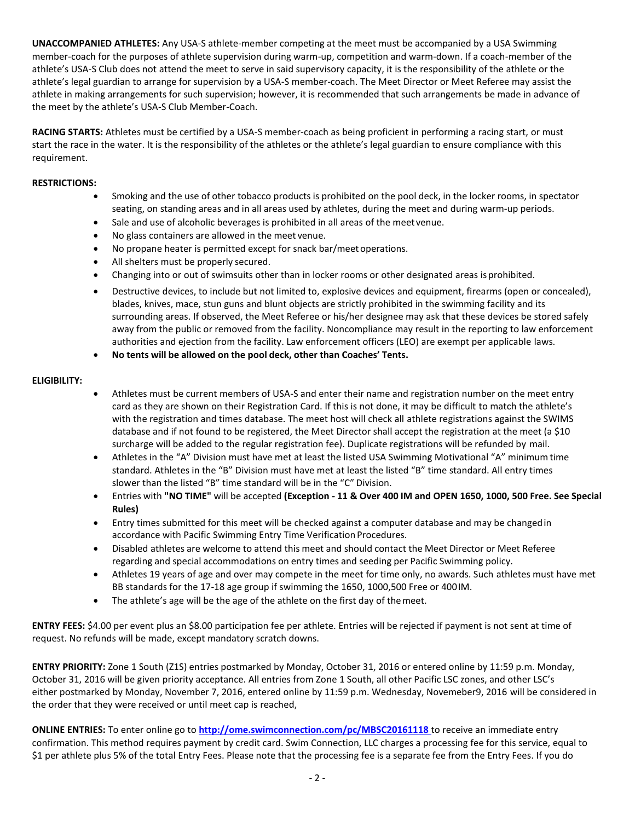**UNACCOMPANIED ATHLETES:** Any USA-S athlete-member competing at the meet must be accompanied by a USA Swimming member-coach for the purposes of athlete supervision during warm-up, competition and warm-down. If a coach-member of the athlete's USA-S Club does not attend the meet to serve in said supervisory capacity, it is the responsibility of the athlete or the athlete's legal guardian to arrange for supervision by a USA-S member-coach. The Meet Director or Meet Referee may assist the athlete in making arrangements for such supervision; however, it is recommended that such arrangements be made in advance of the meet by the athlete's USA-S Club Member-Coach.

**RACING STARTS:** Athletes must be certified by a USA-S member-coach as being proficient in performing a racing start, or must start the race in the water. It is the responsibility of the athletes or the athlete's legal guardian to ensure compliance with this requirement.

# **RESTRICTIONS:**

- Smoking and the use of other tobacco products is prohibited on the pool deck, in the locker rooms, in spectator seating, on standing areas and in all areas used by athletes, during the meet and during warm-up periods.
- Sale and use of alcoholic beverages is prohibited in all areas of the meet venue.
- No glass containers are allowed in the meet venue.
- No propane heater is permitted except for snack bar/meetoperations.
- All shelters must be properly secured.
- Changing into or out of swimsuits other than in locker rooms or other designated areas isprohibited.
- Destructive devices, to include but not limited to, explosive devices and equipment, firearms (open or concealed), blades, knives, mace, stun guns and blunt objects are strictly prohibited in the swimming facility and its surrounding areas. If observed, the Meet Referee or his/her designee may ask that these devices be stored safely away from the public or removed from the facility. Noncompliance may result in the reporting to law enforcement authorities and ejection from the facility. Law enforcement officers (LEO) are exempt per applicable laws.
- **No tents will be allowed on the pool deck, other than Coaches' Tents.**

# **ELIGIBILITY:**

- Athletes must be current members of USA-S and enter their name and registration number on the meet entry card as they are shown on their Registration Card. If this is not done, it may be difficult to match the athlete's with the registration and times database. The meet host will check all athlete registrations against the SWIMS database and if not found to be registered, the Meet Director shall accept the registration at the meet (a \$10 surcharge will be added to the regular registration fee). Duplicate registrations will be refunded by mail.
- Athletes in the "A" Division must have met at least the listed USA Swimming Motivational "A" minimumtime standard. Athletes in the "B" Division must have met at least the listed "B" time standard. All entry times slower than the listed "B" time standard will be in the "C" Division.
- Entries with **"NO TIME"** will be accepted **(Exception - 11 & Over 400 IM and OPEN 1650, 1000, 500 Free. See Special Rules)**
- Entry times submitted for this meet will be checked against a computer database and may be changedin accordance with Pacific Swimming Entry Time Verification Procedures.
- Disabled athletes are welcome to attend this meet and should contact the Meet Director or Meet Referee regarding and special accommodations on entry times and seeding per Pacific Swimming policy.
- Athletes 19 years of age and over may compete in the meet for time only, no awards. Such athletes must have met BB standards for the 17-18 age group if swimming the 1650, 1000,500 Free or 400IM.
- The athlete's age will be the age of the athlete on the first day of the meet.

**ENTRY FEES:** \$4.00 per event plus an \$8.00 participation fee per athlete. Entries will be rejected if payment is not sent at time of request. No refunds will be made, except mandatory scratch downs.

**ENTRY PRIORITY:** Zone 1 South (Z1S) entries postmarked by Monday, October 31, 2016 or entered online by 11:59 p.m. Monday, October 31, 2016 will be given priority acceptance. All entries from Zone 1 South, all other Pacific LSC zones, and other LSC's either postmarked by Monday, November 7, 2016, entered online by 11:59 p.m. Wednesday, Novemeber9, 2016 will be considered in the order that they were received or until meet cap is reached,

**ONLINE ENTRIES:** To enter online go to **<http://ome.swimconnection.com/pc/MBSC20161118>**to receive an immediate entry confirmation. This method requires payment by credit card. Swim Connection, LLC charges a processing fee for this service, equal to \$1 per athlete plus 5% of the total Entry Fees. Please note that the processing fee is a separate fee from the Entry Fees. If you do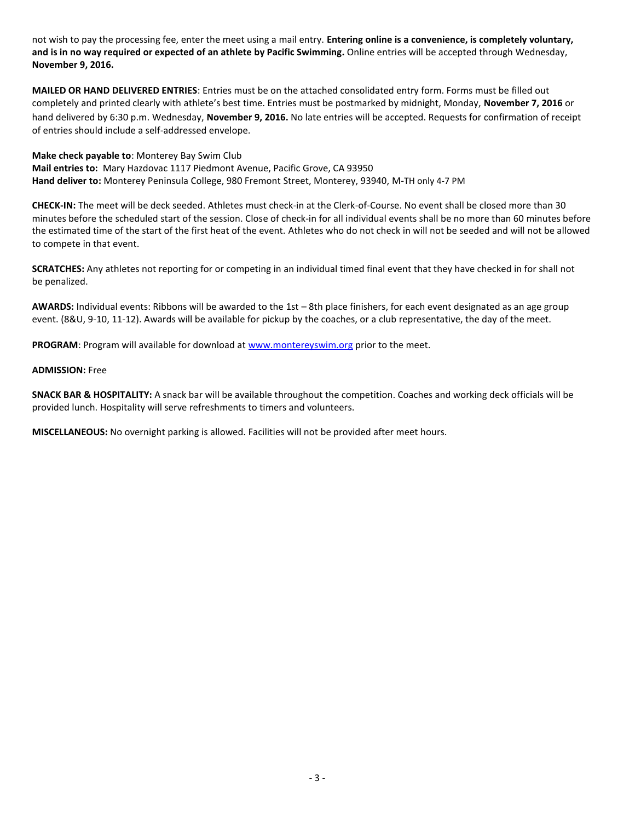not wish to pay the processing fee, enter the meet using a mail entry. **Entering online is a convenience, is completely voluntary, and is in no way required or expected of an athlete by Pacific Swimming.** Online entries will be accepted through Wednesday, **November 9, 2016.**

**MAILED OR HAND DELIVERED ENTRIES**: Entries must be on the attached consolidated entry form. Forms must be filled out completely and printed clearly with athlete's best time. Entries must be postmarked by midnight, Monday, **November 7, 2016** or hand delivered by 6:30 p.m. Wednesday, **November 9, 2016.** No late entries will be accepted. Requests for confirmation of receipt of entries should include a self-addressed envelope.

**Make check payable to**: Monterey Bay Swim Club

**Mail entries to:** Mary Hazdovac 1117 Piedmont Avenue, Pacific Grove, CA 93950 **Hand deliver to:** Monterey Peninsula College, 980 Fremont Street, Monterey, 93940, M-TH only 4-7 PM

**CHECK-IN:** The meet will be deck seeded. Athletes must check-in at the Clerk-of-Course. No event shall be closed more than 30 minutes before the scheduled start of the session. Close of check-in for all individual events shall be no more than 60 minutes before the estimated time of the start of the first heat of the event. Athletes who do not check in will not be seeded and will not be allowed to compete in that event.

**SCRATCHES:** Any athletes not reporting for or competing in an individual timed final event that they have checked in for shall not be penalized.

**AWARDS:** Individual events: Ribbons will be awarded to the 1st – 8th place finishers, for each event designated as an age group event. (8&U, 9-10, 11-12). Awards will be available for pickup by the coaches, or a club representative, the day of the meet.

**PROGRAM**: Program will available for download a[t www.montereyswim.org](http://www.montereyswim.org/) prior to the meet.

#### **ADMISSION:** Free

**SNACK BAR & HOSPITALITY:** A snack bar will be available throughout the competition. Coaches and working deck officials will be provided lunch. Hospitality will serve refreshments to timers and volunteers.

**MISCELLANEOUS:** No overnight parking is allowed. Facilities will not be provided after meet hours.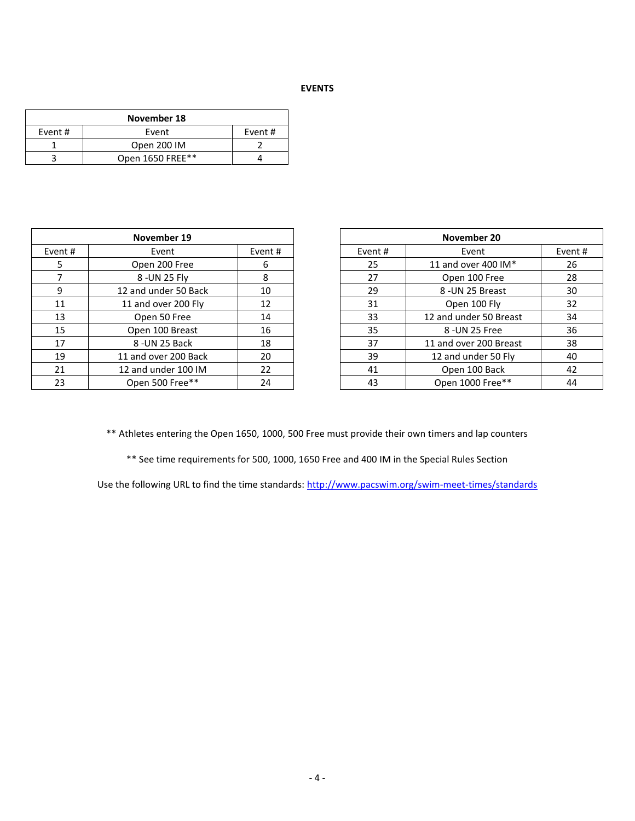# **EVENTS**

| November 18 |                  |  |  |  |  |  |  |  |
|-------------|------------------|--|--|--|--|--|--|--|
| Event #     | Event            |  |  |  |  |  |  |  |
|             | Open 200 IM      |  |  |  |  |  |  |  |
|             | Open 1650 FREE** |  |  |  |  |  |  |  |

|         | November 19          |         |         | November 20            |         |
|---------|----------------------|---------|---------|------------------------|---------|
| Event # | Event                | Event # | Event # | Event                  | Event # |
| 5.      | Open 200 Free        | 6       | 25      | 11 and over 400 IM*    | 26      |
|         | 8 - UN 25 Fly        | 8       | 27      | Open 100 Free          | 28      |
| 9       | 12 and under 50 Back | 10      | 29      | 8-UN 25 Breast         | 30      |
| 11      | 11 and over 200 Fly  | 12      | 31      | Open 100 Fly           | 32      |
| 13      | Open 50 Free         | 14      | 33      | 12 and under 50 Breast | 34      |
| 15      | Open 100 Breast      | 16      | 35      | 8 - UN 25 Free         | 36      |
| 17      | 8-UN 25 Back         | 18      | 37      | 11 and over 200 Breast | 38      |
| 19      | 11 and over 200 Back | 20      | 39      | 12 and under 50 Fly    | 40      |
| 21      | 12 and under 100 IM  | 22      | 41      | Open 100 Back          | 42      |
| 23      | Open 500 Free**      | 24      | 43      | Open 1000 Free**       | 44      |

| November 19 |                      |         |  |
|-------------|----------------------|---------|--|
| $ent$ #     | Event                | Event # |  |
| 5           | Open 200 Free        | 6       |  |
|             | 8 - UN 25 Fly        | 8       |  |
| 9           | 12 and under 50 Back | 10      |  |
|             | 11 and over 200 Fly  | 12      |  |
| L3          | Open 50 Free         | 14      |  |
| L5          | Open 100 Breast      | 16      |  |
| .7          | 8-UN 25 Back         | 18      |  |
| L9          | 11 and over 200 Back | 20      |  |
| 21          | 12 and under 100 IM  | 22      |  |
| 23.         | Open 500 Free**      | 24      |  |

\*\* Athletes entering the Open 1650, 1000, 500 Free must provide their own timers and lap counters

\*\* See time requirements for 500, 1000, 1650 Free and 400 IM in the Special Rules Section

Use the following URL to find the time standards:<http://www.pacswim.org/swim-meet-times/standards>